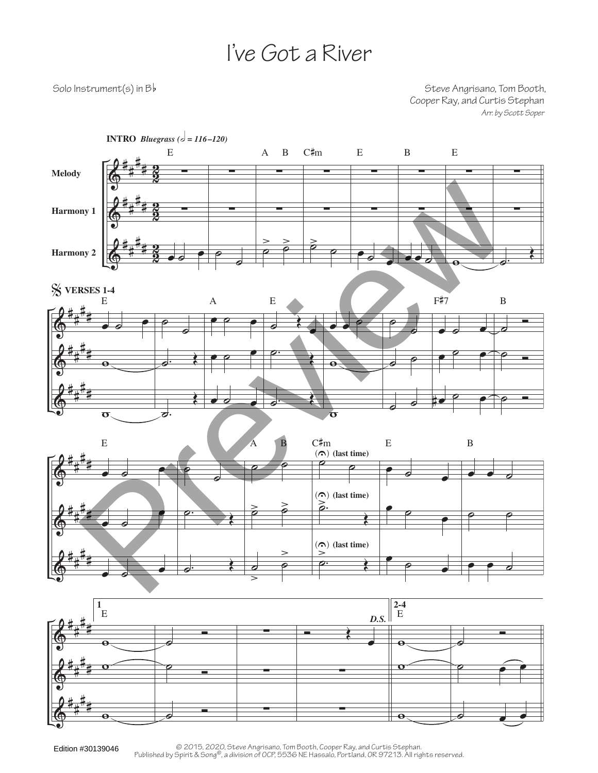## I've Got a River

Solo Instrument(s) in  $B\flat$  Solo Instrument(s) in  $B\flat$ Cooper Ray, and Curtis Stephan *Arr. by Scott Soper*



∑

 $\overline{\mathbf{e}}$ 

 $\circ$   $\bullet$   $\bullet$ 

∑

 $\overline{\mathbf{e}}$ 

 $\overline{\phantom{a}}$ 

 $\Phi$ 

# # # #